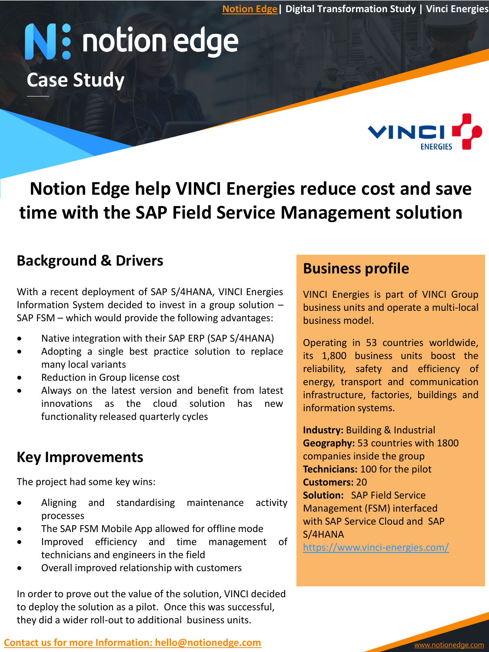**[Notion Edge|](http://www.notionedge.com/) Digital Transformation Study | Vinci Energies**

# N: notion edge **Case Study**



#### **Background & Drivers**

With a recent deployment of SAP S/4HANA, VINCI Energies Information System decided to invest in a group solution – SAP FSM – which would provide the following advantages:

- Native integration with their SAP ERP (SAP S/4HANA) Qperating in 53 countries worldwide,
- Adopting a single best practice solution to replace many local variants
- Reduction in Group license cost
- Always on the latest version and benefit from latest innovations as the cloud solution has new functionality released quarterly cycles

### **Key Improvements**

The project had some key wins:

- Aligning and standardising maintenance activity processes
- The SAP FSM Mobile App allowed for offline mode
- Improved efficiency and time management of technicians and engineers in the field
- Overall improved relationship with customers

In order to prove out the value of the solution, VINCI decided to deploy the solution as a pilot. Once this was successful, they did a wider roll-out to additional business units.

#### **[Contact us for more Information: hello@notionedge.com](mailto:hello@notionedge.com)**

#### **Business profile**

VINCI Energies is part of VINCI Group business units and operate a multi-local business model.

VINC

best practice solution to replace its 1,800 business units boost the<br>reliability safety and efficiency of Operating in 53 countries worldwide, reliability, safety and efficiency of energy, transport and communication infrastructure, factories, buildings and information systems.

> **Industry:** Building & Industrial **Geography:** 53 countries with 1800 companies inside the group **Technicians:** 100 for the pilot **Customers:** 20 **Solution:** SAP Field Service Management (FSM) interfaced with SAP Service Cloud and SAP S/4HANA

<https://www.vinci-energies.com/>